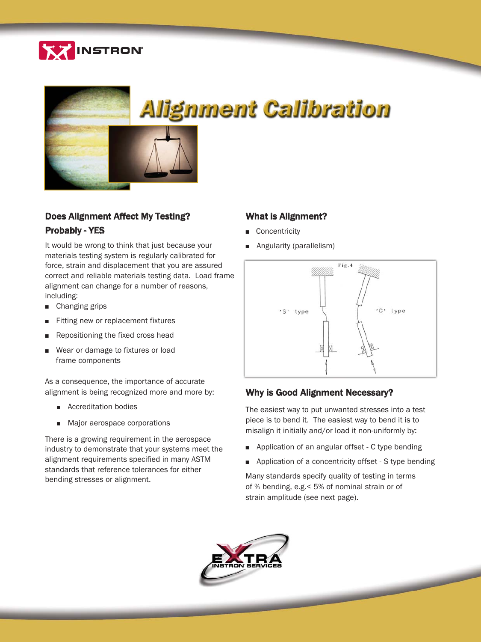



### Does Alignment Affect My Testing? Probably - YES

It would be wrong to think that just because your materials testing system is regularly calibrated for force, strain and displacement that you are assured correct and reliable materials testing data. Load frame alignment can change for a number of reasons, including:

- **n** Changing grips
- Fitting new or replacement fixtures
- Repositioning the fixed cross head
- Wear or damage to fixtures or load frame components

As a consequence, the importance of accurate alignment is being recognized more and more by:

- Accreditation bodies
- Major aerospace corporations

There is a growing requirement in the aerospace industry to demonstrate that your systems meet the alignment requirements specified in many ASTM standards that reference tolerances for either bending stresses or alignment.

### What is Alignment?

- **n** Concentricity
- **Angularity (parallelism)**



#### Why is Good Alignment Necessary?

The easiest way to put unwanted stresses into a test piece is to bend it. The easiest way to bend it is to misalign it initially and/or load it non-uniformly by:

- $\blacksquare$  Application of an angular offset C type bending
- **•** Application of a concentricity offset S type bending

Many standards specify quality of testing in terms of % bending, e.g.< 5% of nominal strain or of strain amplitude (see next page).

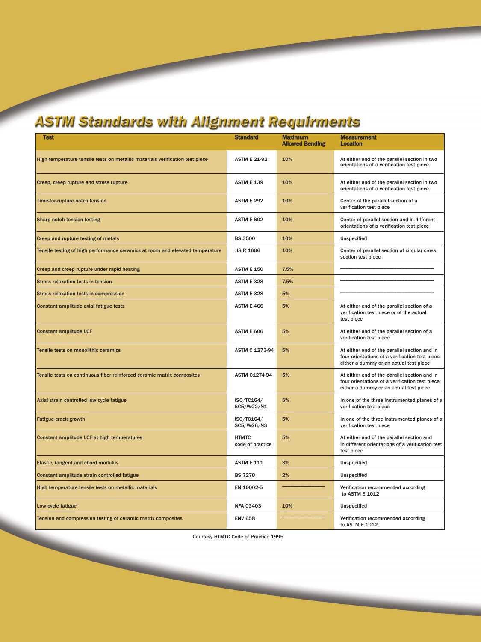# **ASTIVI Standards with Alignment Requirments**

| <b>Test</b>                                                                   | <b>Standard</b>                  | <b>Maximum</b><br><b>Allowed Bending</b> | <b>Measurement</b><br>Location                                                                                                            |
|-------------------------------------------------------------------------------|----------------------------------|------------------------------------------|-------------------------------------------------------------------------------------------------------------------------------------------|
| High temperature tensile tests on metallic materials verification test piece  | <b>ASTM E 21-92</b>              | 10%                                      | At either end of the parallel section in two<br>orientations of a verification test piece                                                 |
| Creep, creep rupture and stress rupture                                       | <b>ASTM E 139</b>                | 10%                                      | At either end of the parallel section in two<br>orientations of a verification test piece                                                 |
| Time-for-rupture notch tension                                                | <b>ASTM E 292</b>                | 10%                                      | Center of the parallel section of a<br>verification test piece                                                                            |
| Sharp notch tension testing                                                   | <b>ASTM E 602</b>                | 10%                                      | Center of parallel section and in different<br>orientations of a verification test piece                                                  |
| Creep and rupture testing of metals                                           | <b>BS 3500</b>                   | 10%                                      | Unspecified                                                                                                                               |
| Tensile testing of high performance ceramics at room and elevated temperature | <b>JIS R 1606</b>                | 10%                                      | Center of parallel section of circular cross<br>section test piece                                                                        |
| Creep and creep rupture under rapid heating                                   | <b>ASTM E 150</b>                | 7.5%                                     |                                                                                                                                           |
| <b>Stress relaxation tests in tension</b>                                     | <b>ASTM E 328</b>                | 7.5%                                     |                                                                                                                                           |
| Stress relaxation tests in compression                                        | <b>ASTM E 328</b>                | 5%                                       |                                                                                                                                           |
| Constant amplitude axial fatigue tests                                        | <b>ASTM E 466</b>                | 5%                                       | At either end of the parallel section of a<br>verification test piece or of the actual<br>test piece                                      |
| <b>Constant amplitude LCF</b>                                                 | <b>ASTM E 606</b>                | 5%                                       | At either end of the parallel section of a<br>verification test piece                                                                     |
| Tensile tests on monolithic ceramics                                          | ASTM C 1273-94                   | 5%                                       | At either end of the parallel section and in<br>four orientations of a verification test piece,<br>either a dummy or an actual test piece |
| Tensile tests on continuous fiber reinforced ceramic matrix composites        | <b>ASTM C1274-94</b>             | 5%                                       | At either end of the parallel section and in<br>four orientations of a verification test piece,<br>either a dummy or an actual test piece |
| Axial strain controlled low cycle fatigue                                     | ISO/TC164/<br>SC5/WG2/N1         | 5%                                       | In one of the three instrumented planes of a<br>verification test piece                                                                   |
| <b>Fatigue crack growth</b>                                                   | ISO/TC164/<br>SC5/WG6/N3         | 5%                                       | In one of the three instrumented planes of a<br>verification test piece                                                                   |
| Constant amplitude LCF at high temperatures                                   | <b>HTMTC</b><br>code of practice | 5%                                       | At either end of the parallel section and<br>in different orientations of a verification test<br>test piece                               |
| Elastic, tangent and chord modulus                                            | <b>ASTM E 111</b>                | 3%                                       | Unspecified                                                                                                                               |
| Constant amplitude strain controlled fatigue                                  | <b>BS 7270</b>                   | 2%                                       | Unspecified                                                                                                                               |
| High temperature tensile tests on metallic materials                          | EN 10002-5                       |                                          | Verification recommended according<br>to ASTM E 1012                                                                                      |
| Low cycle fatigue                                                             | <b>NFA 03403</b>                 | 10%                                      | Unspecified                                                                                                                               |
| Tension and compression testing of ceramic matrix composites                  | <b>ENV 658</b>                   |                                          | Verification recommended according<br>to ASTM E 1012                                                                                      |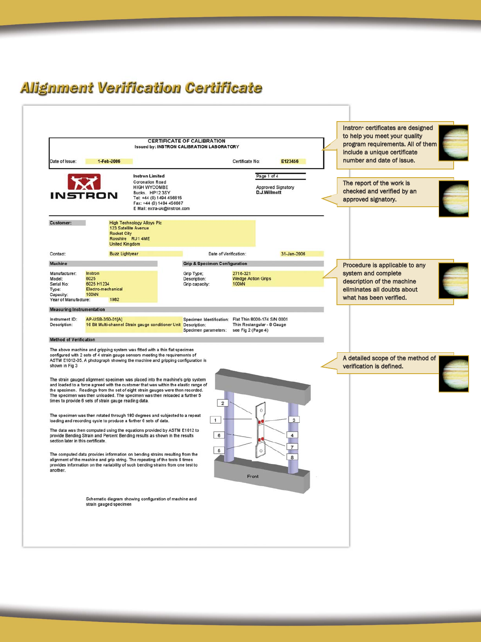## **Alignment Verification Certificate**

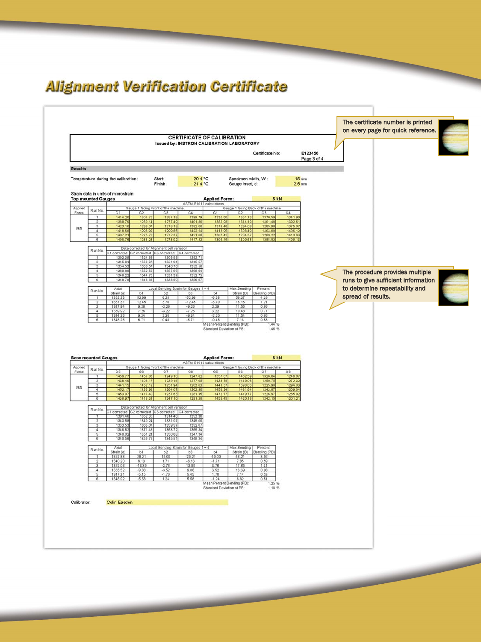## **Alignment Verification Certificate**

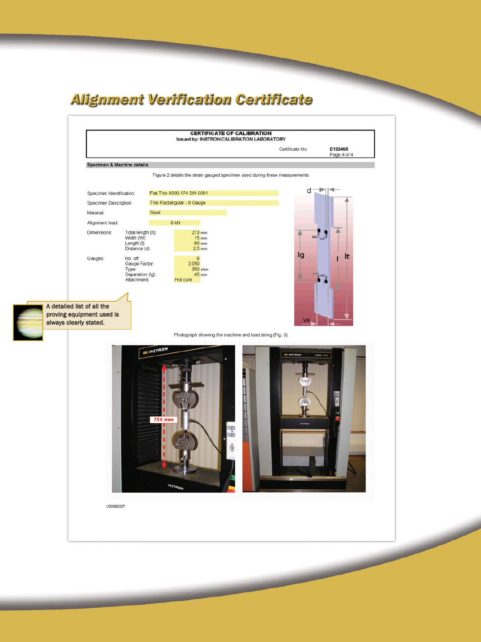## **Alignment Verification Certificate**



**Contract Contract Contract Contract Contract Contract Contract Contract Contract Contract Contract Contract Contract Contract Contract Contract Contract Contract Contract Contract Contract Contract Contract Contract Contr**